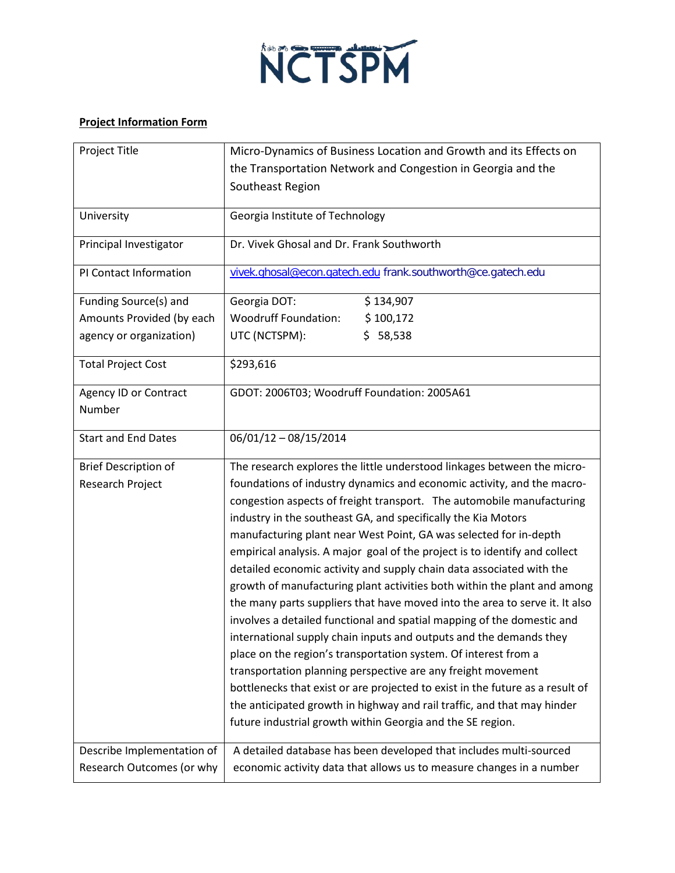

## **Project Information Form**

| Project Title               | Micro-Dynamics of Business Location and Growth and its Effects on             |
|-----------------------------|-------------------------------------------------------------------------------|
|                             | the Transportation Network and Congestion in Georgia and the                  |
|                             | Southeast Region                                                              |
|                             |                                                                               |
| University                  | Georgia Institute of Technology                                               |
| Principal Investigator      | Dr. Vivek Ghosal and Dr. Frank Southworth                                     |
| PI Contact Information      | vivek.ghosal@econ.gatech.edu frank.southworth@ce.gatech.edu                   |
| Funding Source(s) and       | Georgia DOT:<br>\$134,907                                                     |
| Amounts Provided (by each   | <b>Woodruff Foundation:</b><br>\$100,172                                      |
| agency or organization)     | UTC (NCTSPM):<br>\$58,538                                                     |
| <b>Total Project Cost</b>   | \$293,616                                                                     |
| Agency ID or Contract       | GDOT: 2006T03; Woodruff Foundation: 2005A61                                   |
| Number                      |                                                                               |
| <b>Start and End Dates</b>  | $06/01/12 - 08/15/2014$                                                       |
| <b>Brief Description of</b> | The research explores the little understood linkages between the micro-       |
| Research Project            | foundations of industry dynamics and economic activity, and the macro-        |
|                             | congestion aspects of freight transport. The automobile manufacturing         |
|                             | industry in the southeast GA, and specifically the Kia Motors                 |
|                             | manufacturing plant near West Point, GA was selected for in-depth             |
|                             | empirical analysis. A major goal of the project is to identify and collect    |
|                             | detailed economic activity and supply chain data associated with the          |
|                             | growth of manufacturing plant activities both within the plant and among      |
|                             | the many parts suppliers that have moved into the area to serve it. It also   |
|                             | involves a detailed functional and spatial mapping of the domestic and        |
|                             | international supply chain inputs and outputs and the demands they            |
|                             | place on the region's transportation system. Of interest from a               |
|                             | transportation planning perspective are any freight movement                  |
|                             | bottlenecks that exist or are projected to exist in the future as a result of |
|                             | the anticipated growth in highway and rail traffic, and that may hinder       |
|                             | future industrial growth within Georgia and the SE region.                    |
| Describe Implementation of  |                                                                               |
|                             | A detailed database has been developed that includes multi-sourced            |